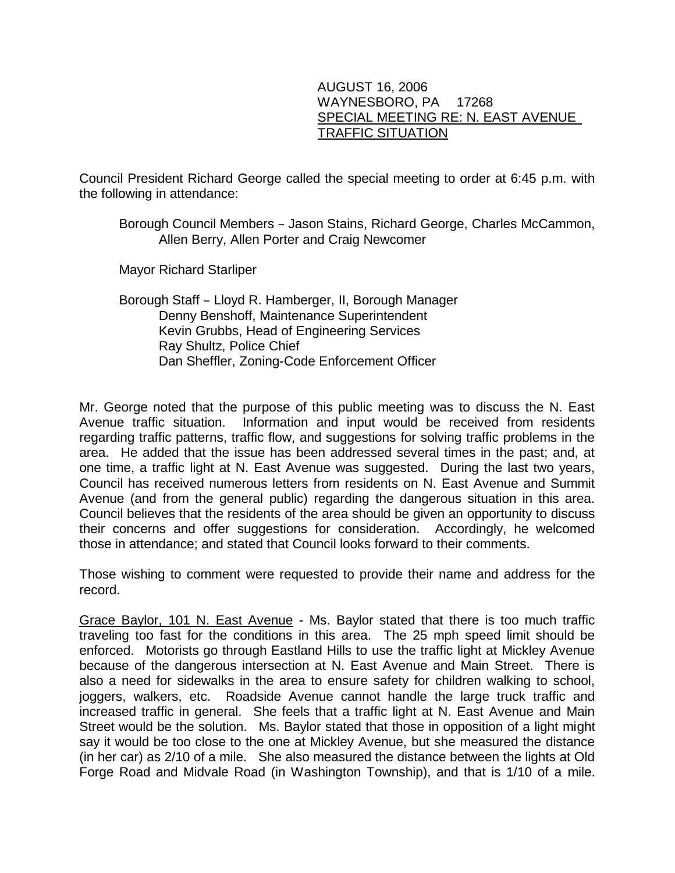## AUGUST 16, 2006 WAYNESBORO, PA 17268 SPECIAL MEETING RE: N. EAST AVENUE TRAFFIC SITUATION

Council President Richard George called the special meeting to order at 6:45 p.m. with the following in attendance:

## Borough Council Members - Jason Stains, Richard George, Charles McCammon, Allen Berry, Allen Porter and Craig Newcomer

Mayor Richard Starliper

Borough Staff - Lloyd R. Hamberger, II, Borough Manager Denny Benshoff, Maintenance Superintendent Kevin Grubbs, Head of Engineering Services Ray Shultz, Police Chief Dan Sheffler, Zoning-Code Enforcement Officer

Mr. George noted that the purpose of this public meeting was to discuss the N. East Avenue traffic situation. Information and input would be received from residents regarding traffic patterns, traffic flow, and suggestions for solving traffic problems in the area. He added that the issue has been addressed several times in the past; and, at one time, a traffic light at N. East Avenue was suggested. During the last two years, Council has received numerous letters from residents on N. East Avenue and Summit Avenue (and from the general public) regarding the dangerous situation in this area. Council believes that the residents of the area should be given an opportunity to discuss their concerns and offer suggestions for consideration. Accordingly, he welcomed those in attendance; and stated that Council looks forward to their comments.

Those wishing to comment were requested to provide their name and address for the record.

Grace Baylor, 101 N. East Avenue - Ms. Baylor stated that there is too much traffic traveling too fast for the conditions in this area. The 25 mph speed limit should be enforced. Motorists go through Eastland Hills to use the traffic light at Mickley Avenue because of the dangerous intersection at N. East Avenue and Main Street. There is also a need for sidewalks in the area to ensure safety for children walking to school, joggers, walkers, etc. Roadside Avenue cannot handle the large truck traffic and increased traffic in general. She feels that a traffic light at N. East Avenue and Main Street would be the solution. Ms. Baylor stated that those in opposition of a light might say it would be too close to the one at Mickley Avenue, but she measured the distance (in her car) as 2/10 of a mile. She also measured the distance between the lights at Old Forge Road and Midvale Road (in Washington Township), and that is 1/10 of a mile.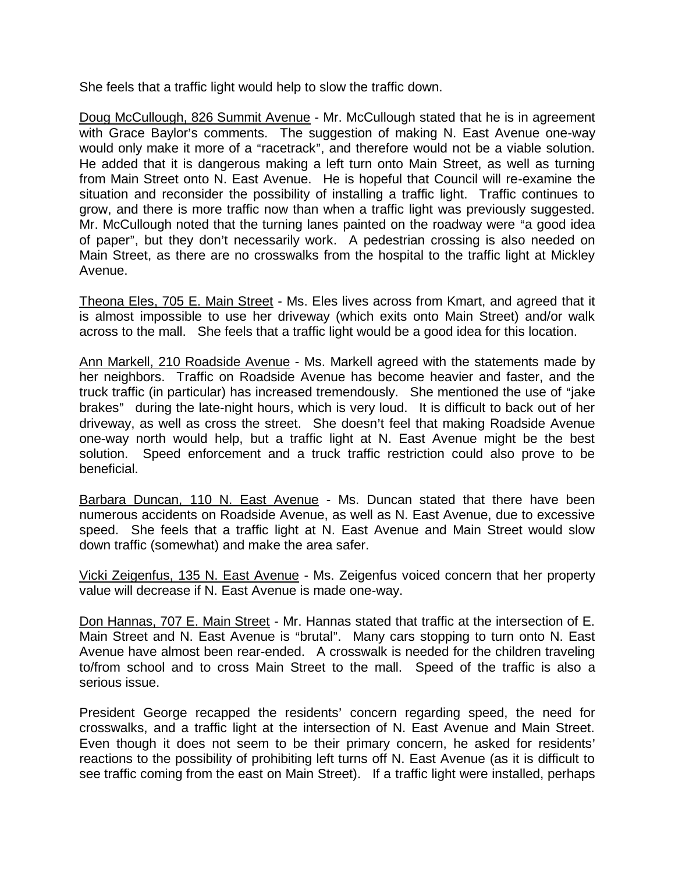She feels that a traffic light would help to slow the traffic down.

Doug McCullough, 826 Summit Avenue - Mr. McCullough stated that he is in agreement with Grace Baylor's comments. The suggestion of making N. East Avenue one-way would only make it more of a "racetrack", and therefore would not be a viable solution. He added that it is dangerous making a left turn onto Main Street, as well as turning from Main Street onto N. East Avenue. He is hopeful that Council will re-examine the situation and reconsider the possibility of installing a traffic light. Traffic continues to grow, and there is more traffic now than when a traffic light was previously suggested. Mr. McCullough noted that the turning lanes painted on the roadway were "a good idea of paper", but they don't necessarily work. A pedestrian crossing is also needed on Main Street, as there are no crosswalks from the hospital to the traffic light at Mickley Avenue.

Theona Eles, 705 E. Main Street - Ms. Eles lives across from Kmart, and agreed that it is almost impossible to use her driveway (which exits onto Main Street) and/or walk across to the mall. She feels that a traffic light would be a good idea for this location.

Ann Markell, 210 Roadside Avenue - Ms. Markell agreed with the statements made by her neighbors. Traffic on Roadside Avenue has become heavier and faster, and the truck traffic (in particular) has increased tremendously. She mentioned the use of "jake brakes" during the late-night hours, which is very loud. It is difficult to back out of her driveway, as well as cross the street. She doesn't feel that making Roadside Avenue one-way north would help, but a traffic light at N. East Avenue might be the best solution. Speed enforcement and a truck traffic restriction could also prove to be beneficial.

Barbara Duncan, 110 N. East Avenue - Ms. Duncan stated that there have been numerous accidents on Roadside Avenue, as well as N. East Avenue, due to excessive speed. She feels that a traffic light at N. East Avenue and Main Street would slow down traffic (somewhat) and make the area safer.

Vicki Zeigenfus, 135 N. East Avenue - Ms. Zeigenfus voiced concern that her property value will decrease if N. East Avenue is made one-way.

Don Hannas, 707 E. Main Street - Mr. Hannas stated that traffic at the intersection of E. Main Street and N. East Avenue is "brutal". Many cars stopping to turn onto N. East Avenue have almost been rear-ended. A crosswalk is needed for the children traveling to/from school and to cross Main Street to the mall. Speed of the traffic is also a serious issue.

President George recapped the residents' concern regarding speed, the need for crosswalks, and a traffic light at the intersection of N. East Avenue and Main Street. Even though it does not seem to be their primary concern, he asked for residents' reactions to the possibility of prohibiting left turns off N. East Avenue (as it is difficult to see traffic coming from the east on Main Street). If a traffic light were installed, perhaps